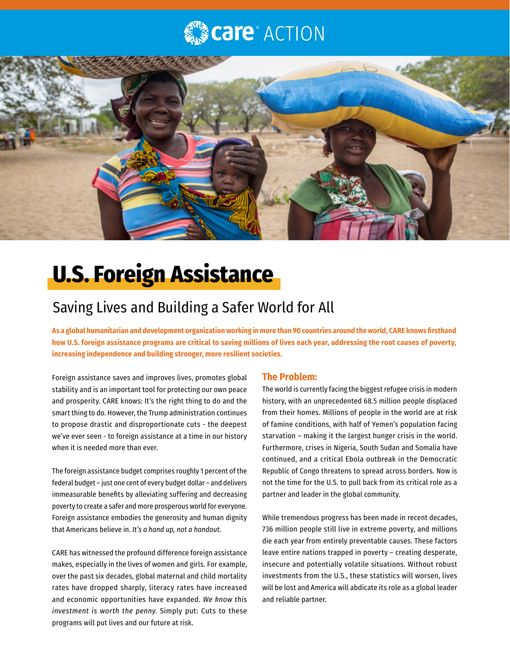## **Care** ACTION



# **U.S. Foreign Assistance**

### Saving Lives and Building a Safer World for All

**As a global humanitarian and development organization working in more than 90 countries around the world, CARE knows firsthand how U.S. foreign assistance programs are critical to saving millions of lives each year, addressing the root causes of poverty, increasing independence and building stronger, more resilient societies.** 

Foreign assistance saves and improves lives, promotes global stability and is an important tool for protecting our own peace and prosperity. CARE knows: It's the right thing to do and the smart thing to do. However, the Trump administration continues to propose drastic and disproportionate cuts - the deepest we've ever seen - to foreign assistance at a time in our history when it is needed more than ever.

The foreign assistance budget comprises roughly 1 percent of the federal budget – just one cent of every budget dollar – and delivers immeasurable benefits by alleviating suffering and decreasing poverty to create a safer and more prosperous world for everyone. Foreign assistance embodies the generosity and human dignity that Americans believe in. *It's a hand up, not a handout.*

CARE has witnessed the profound difference foreign assistance makes, especially in the lives of women and girls*.* For example, over the past six decades, global maternal and child mortality rates have dropped sharply, literacy rates have increased and economic opportunities have expanded. *We know this investment is worth the penny*. Simply put: Cuts to these programs will put lives and our future at risk.

#### **The Problem:**

The world is currently facing the biggest refugee crisis in modern history, with an unprecedented 68.5 million people displaced from their homes. Millions of people in the world are at risk of famine conditions, with half of Yemen's population facing starvation – making it the largest hunger crisis in the world. Furthermore, crises in Nigeria, South Sudan and Somalia have continued, and a critical Ebola outbreak in the Democratic Republic of Congo threatens to spread across borders. Now is not the time for the U.S. to pull back from its critical role as a partner and leader in the global community.

While tremendous progress has been made in recent decades, 736 million people still live in extreme poverty, and millions die each year from entirely preventable causes. These factors leave entire nations trapped in poverty – creating desperate, insecure and potentially volatile situations. Without robust investments from the U.S., these statistics will worsen, lives will be lost and America will abdicate its role as a global leader and reliable partner.